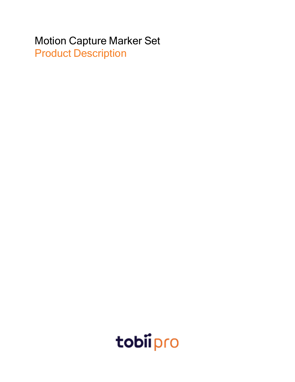# Motion Capture Marker Set Product Description

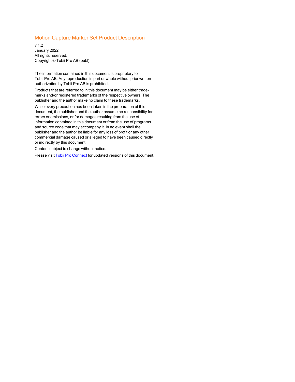#### Motion Capture Marker Set Product Description

v 1.2 January 2022 All rights reserved. Copyright © Tobii Pro AB (publ)

The information contained in this document is proprietary to Tobii Pro AB. Any reproduction in part or whole without prior written authorization by Tobii Pro AB is prohibited.

Products that are referred to in this document may be either trademarks and/or registered trademarks of the respective owners. The publisher and the author make no claim to these trademarks.

While every precaution has been taken in the preparation of this document, the publisher and the author assume no responsibility for errors or omissions, or for damages resulting from the use of information contained in this document or from the use of programs and source code that may accompany it. In no event shall the publisher and the author be liable for any loss of profit or any other commercial damage caused or alleged to have been caused directly or indirectly by this document.

Content subject to change without notice.

Please visit Tobii Pro [Connect](https://connect.tobiipro.com/) for updated versions of this document.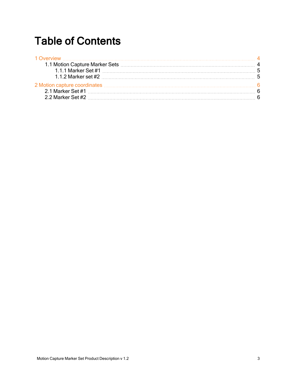# Table of Contents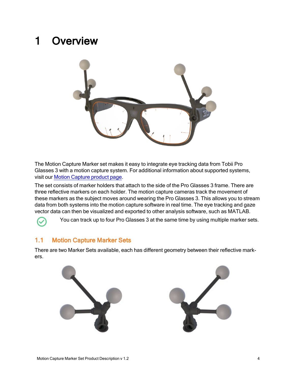# <span id="page-3-0"></span>1 Overview



The Motion Capture Marker set makes it easy to integrate eye tracking data from Tobii Pro Glasses 3 with a motion capture system. For additional information about supported systems, visit our [Motion Capture](https://www.tobiipro.com/product-listing/motion-capture/) product page.

The set consists of marker holders that attach to the side of the Pro Glasses 3 frame. There are three reflective markers on each holder. The motion capture cameras track the movement of these markers as the subject moves around wearing the Pro Glasses 3. This allows you to stream data from both systems into the motion capture software in real time. The eye tracking and gaze vector data can then be visualized and exported to other analysis software, such as MATLAB.

<span id="page-3-1"></span>You can track up to four Pro Glasses 3 at the same time by using multiple marker sets.

## 1.1 Motion Capture Marker Sets

There are two Marker Sets available, each has different geometry between their reflective markers.



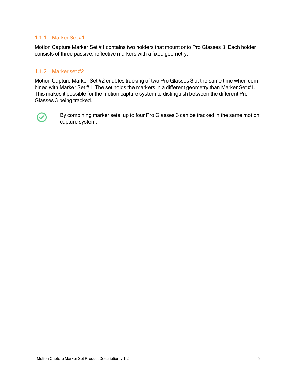### <span id="page-4-0"></span>1.1.1 Marker Set #1

Motion Capture Marker Set #1 contains two holders that mount onto Pro Glasses 3. Each holder consists of three passive, reflective markers with a fixed geometry.

## <span id="page-4-1"></span>1.1.2 Marker set #2

Motion Capture Marker Set #2 enables tracking of two Pro Glasses 3 at the same time when combined with Marker Set #1. The set holds the markers in a different geometry than Marker Set #1. This makes it possible for the motion capture system to distinguish between the different Pro Glasses 3 being tracked.



By combining marker sets, up to four Pro Glasses 3 can be tracked in the same motion capture system.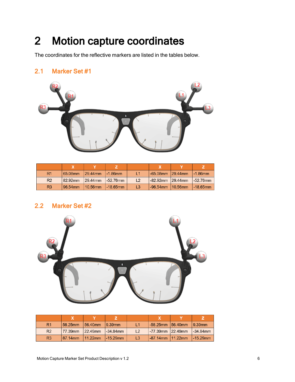# <span id="page-5-0"></span>2 Motion capture coordinates

The coordinates for the reflective markers are listed in the tables below.

## <span id="page-5-1"></span>2.1 Marker Set #1



| R1             | 65.08mm | $129.44$ mm | $-1.86$ mm  | L1             | $-65.08$ mm 29.44mm     | $-1.86$ mm  |
|----------------|---------|-------------|-------------|----------------|-------------------------|-------------|
| R <sub>2</sub> | 82.92mm | $129.44$ mm | $-52.76$ mm | L <sub>2</sub> | $-82.92$ mm $ 29.44$ mm | $-52.76$ mm |
| R <sub>3</sub> | 96.54mm | 10.56mm     | $-18.65$ mm | L <sub>3</sub> | $-96.54$ mm $10.56$ mm  | $-18.65$ mm |

## <span id="page-5-2"></span>2.2 Marker Set #2



| R <sub>1</sub> | 58.25mm  | $156.40$ mm | 19.39mm        | L <sub>1</sub> | $-58.25$ mm $ 56.40$ mm | 19.39mm      |
|----------------|----------|-------------|----------------|----------------|-------------------------|--------------|
| R <sub>2</sub> | 177.39mm | $ 22.49$ mm | $l - 34.84$ mm | $\mathsf{L}2$  | $-77.39$ mm $ 22.49$ mm | $-34.84$ mm  |
| R <sub>3</sub> | 87.14mm  | $11.22$ mm  | $1 - 15.29$ mm | L3             | $1-87.14$ mm $11.22$ mm | $1-15.29$ mm |